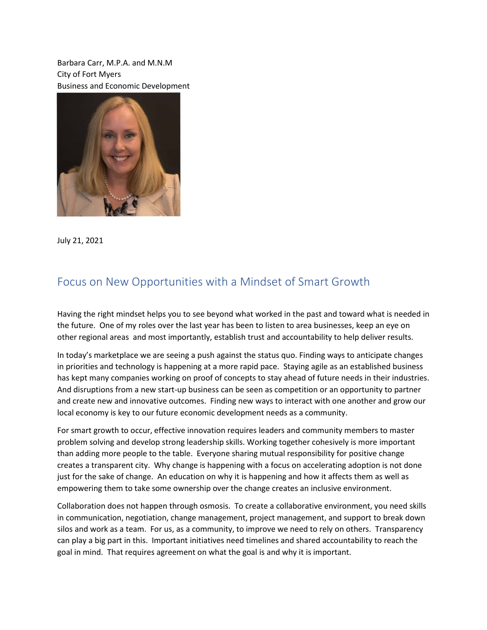Barbara Carr, M.P.A. and M.N.M City of Fort Myers Business and Economic Development



July 21, 2021

## Focus on New Opportunities with a Mindset of Smart Growth

Having the right mindset helps you to see beyond what worked in the past and toward what is needed in the future. One of my roles over the last year has been to listen to area businesses, keep an eye on other regional areas and most importantly, establish trust and accountability to help deliver results.

In today's marketplace we are seeing a push against the status quo. Finding ways to anticipate changes in priorities and technology is happening at a more rapid pace. Staying agile as an established business has kept many companies working on proof of concepts to stay ahead of future needs in their industries. And disruptions from a new start-up business can be seen as competition or an opportunity to partner and create new and innovative outcomes. Finding new ways to interact with one another and grow our local economy is key to our future economic development needs as a community.

For smart growth to occur, effective innovation requires leaders and community members to master problem solving and develop strong leadership skills. Working together cohesively is more important than adding more people to the table. Everyone sharing mutual responsibility for positive change creates a transparent city. Why change is happening with a focus on accelerating adoption is not done just for the sake of change. An education on why it is happening and how it affects them as well as empowering them to take some ownership over the change creates an inclusive environment.

Collaboration does not happen through osmosis. To create a collaborative environment, you need skills in communication, negotiation, change management, project management, and support to break down silos and work as a team. For us, as a community, to improve we need to rely on others. Transparency can play a big part in this. Important initiatives need timelines and shared accountability to reach the goal in mind. That requires agreement on what the goal is and why it is important.